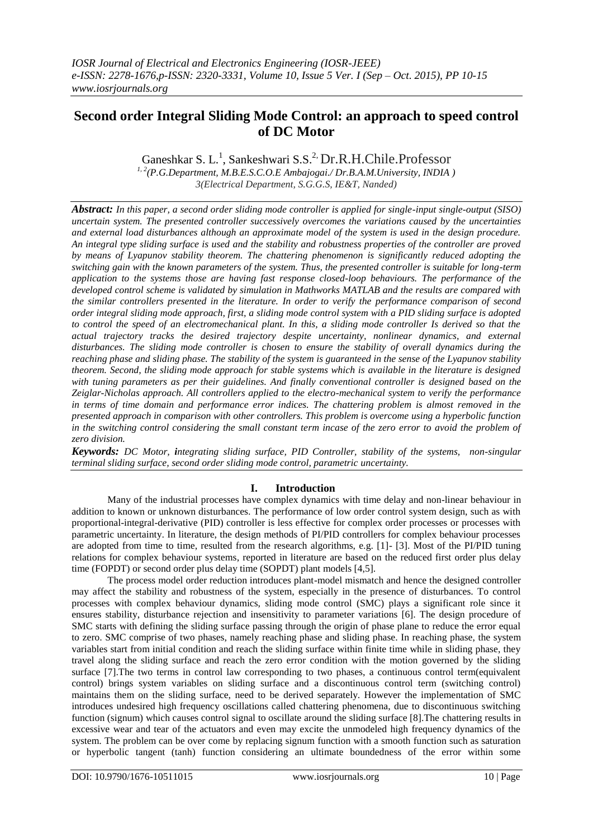# **Second order Integral Sliding Mode Control: an approach to speed control of DC Motor**

Ganeshkar S. L.<sup>1</sup>, Sankeshwari S.S.<sup>2,</sup> Dr.R.H.Chile.Professor

*1, 2(P.G.Department, M.B.E.S.C.O.E Ambajogai./ Dr.B.A.M.University, INDIA ) 3(Electrical Department, S.G.G.S, IE&T, Nanded)*

*Abstract: In this paper, a second order sliding mode controller is applied for single-input single-output (SISO) uncertain system. The presented controller successively overcomes the variations caused by the uncertainties and external load disturbances although an approximate model of the system is used in the design procedure. An integral type sliding surface is used and the stability and robustness properties of the controller are proved by means of Lyapunov stability theorem. The chattering phenomenon is significantly reduced adopting the switching gain with the known parameters of the system. Thus, the presented controller is suitable for long-term application to the systems those are having fast response closed-loop behaviours. The performance of the developed control scheme is validated by simulation in Mathworks MATLAB and the results are compared with the similar controllers presented in the literature. In order to verify the performance comparison of second order integral sliding mode approach, first, a sliding mode control system with a PID sliding surface is adopted to control the speed of an electromechanical plant. In this, a sliding mode controller Is derived so that the actual trajectory tracks the desired trajectory despite uncertainty, nonlinear dynamics, and external disturbances. The sliding mode controller is chosen to ensure the stability of overall dynamics during the reaching phase and sliding phase. The stability of the system is guaranteed in the sense of the Lyapunov stability theorem. Second, the sliding mode approach for stable systems which is available in the literature is designed*  with tuning parameters as per their guidelines. And finally conventional controller is designed based on the *Zeiglar-Nicholas approach. All controllers applied to the electro-mechanical system to verify the performance in terms of time domain and performance error indices. The chattering problem is almost removed in the presented approach in comparison with other controllers. This problem is overcome using a hyperbolic function*  in the switching control considering the small constant term incase of the zero error to avoid the problem of *zero division.*

*Keywords: DC Motor, integrating sliding surface, PID Controller, stability of the systems, non-singular terminal sliding surface, second order sliding mode control, parametric uncertainty.*

## **I. Introduction**

Many of the industrial processes have complex dynamics with time delay and non-linear behaviour in addition to known or unknown disturbances. The performance of low order control system design, such as with proportional-integral-derivative (PID) controller is less effective for complex order processes or processes with parametric uncertainty. In literature, the design methods of PI/PID controllers for complex behaviour processes are adopted from time to time, resulted from the research algorithms, e.g. [1]- [3]. Most of the PI/PID tuning relations for complex behaviour systems, reported in literature are based on the reduced first order plus delay time (FOPDT) or second order plus delay time (SOPDT) plant models [4,5].

The process model order reduction introduces plant-model mismatch and hence the designed controller may affect the stability and robustness of the system, especially in the presence of disturbances. To control processes with complex behaviour dynamics, sliding mode control (SMC) plays a significant role since it ensures stability, disturbance rejection and insensitivity to parameter variations [6]. The design procedure of SMC starts with defining the sliding surface passing through the origin of phase plane to reduce the error equal to zero. SMC comprise of two phases, namely reaching phase and sliding phase. In reaching phase, the system variables start from initial condition and reach the sliding surface within finite time while in sliding phase, they travel along the sliding surface and reach the zero error condition with the motion governed by the sliding surface [7]. The two terms in control law corresponding to two phases, a continuous control term(equivalent control) brings system variables on sliding surface and a discontinuous control term (switching control) maintains them on the sliding surface, need to be derived separately. However the implementation of SMC introduces undesired high frequency oscillations called chattering phenomena, due to discontinuous switching function (signum) which causes control signal to oscillate around the sliding surface [8].The chattering results in excessive wear and tear of the actuators and even may excite the unmodeled high frequency dynamics of the system. The problem can be over come by replacing signum function with a smooth function such as saturation or hyperbolic tangent (tanh) function considering an ultimate boundedness of the error within some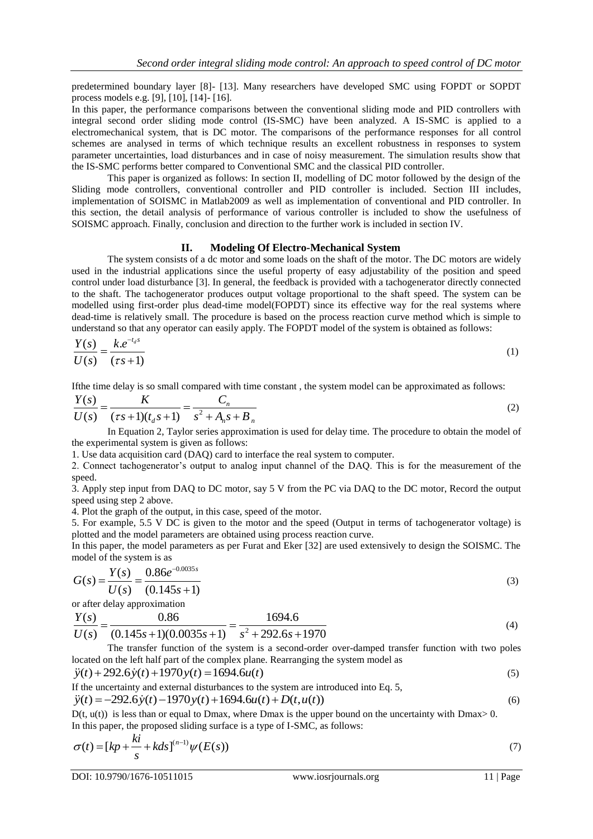predetermined boundary layer [8]- [13]. Many researchers have developed SMC using FOPDT or SOPDT process models e.g. [9], [10], [14]- [16].

In this paper, the performance comparisons between the conventional sliding mode and PID controllers with integral second order sliding mode control (IS-SMC) have been analyzed. A IS-SMC is applied to a electromechanical system, that is DC motor. The comparisons of the performance responses for all control schemes are analysed in terms of which technique results an excellent robustness in responses to system parameter uncertainties, load disturbances and in case of noisy measurement. The simulation results show that the IS-SMC performs better compared to Conventional SMC and the classical PID controller.

This paper is organized as follows: In section II, modelling of DC motor followed by the design of the Sliding mode controllers, conventional controller and PID controller is included. Section III includes, implementation of SOISMC in Matlab2009 as well as implementation of conventional and PID controller. In this section, the detail analysis of performance of various controller is included to show the usefulness of SOISMC approach. Finally, conclusion and direction to the further work is included in section IV.

## **II. Modeling Of Electro-Mechanical System**

The system consists of a dc motor and some loads on the shaft of the motor. The DC motors are widely used in the industrial applications since the useful property of easy adjustability of the position and speed control under load disturbance [3]. In general, the feedback is provided with a tachogenerator directly connected to the shaft. The tachogenerator produces output voltage proportional to the shaft speed. The system can be modelled using first-order plus dead-time model(FOPDT) since its effective way for the real systems where dead-time is relatively small. The procedure is based on the process reaction curve method which is simple to understand so that any operator can easily apply. The FOPDT model of the system is obtained as follows:

$$
\frac{Y(s)}{U(s)} = \frac{k.e^{-t_d s}}{(\tau s + 1)}
$$
(1)

If the time delay is so small compared with time constant, the system model can be approximated as follows:  
\n
$$
\frac{Y(s)}{U(s)} = \frac{K}{(\tau s + 1)(t_a s + 1)} = \frac{C_n}{s^2 + A_n s + B_n}
$$
\n(2)

In Equation 2, Taylor series approximation is used for delay time. The procedure to obtain the model of the experimental system is given as follows:

1. Use data acquisition card (DAQ) card to interface the real system to computer.

2. Connect tachogenerator's output to analog input channel of the DAQ. This is for the measurement of the speed.

3. Apply step input from DAQ to DC motor, say 5 V from the PC via DAQ to the DC motor, Record the output speed using step 2 above.

4. Plot the graph of the output, in this case, speed of the motor.

5. For example, 5.5 V DC is given to the motor and the speed (Output in terms of tachogenerator voltage) is plotted and the model parameters are obtained using process reaction curve.

In this paper, the model parameters as per Furat and Eker [32] are used extensively to design the SOISMC. The

model of the system is as  
\n
$$
G(s) = \frac{Y(s)}{U(s)} = \frac{0.86e^{-0.0035s}}{(0.145s + 1)}
$$
\n(3)

or after delay approximation

$$
U(s) \quad (0.145s + 1)
$$
  
or after delay approximation  

$$
\frac{Y(s)}{U(s)} = \frac{0.86}{(0.145s + 1)(0.0035s + 1)} = \frac{1694.6}{s^2 + 292.6s + 1970}
$$
 (4)

The transfer function of the system is a second-order over-damped transfer function with two poles located on the left half part of the complex plane. Rearranging the system model as  $\ddot{y}(t) + 292.6 \dot{y}(t) + 1970 y(t) = 1694.6 u(t)$  (5)

$$
\ddot{y}(t) + 292.6\dot{y}(t) + 1970y(t) = 1694.6u(t)
$$
\n(5)

If the uncertainty and external disturbances to the system are introduced into Eq. 5,

$$
\ddot{y}(t) + 292.6\dot{y}(t) + 1970y(t) = 1694.6u(t)
$$
\nIf the uncertainty and external disturbances to the system are introduced into Eq. 5,  
\n
$$
\ddot{y}(t) = -292.6\dot{y}(t) - 1970y(t) + 1694.6u(t) + D(t, u(t))
$$
\n(6)

 $D(t, u(t))$  is less than or equal to Dmax, where Dmax is the upper bound on the uncertainty with Dmax $> 0$ . In this paper, the proposed sliding surface is a type of I-SMC, as follows:

$$
\sigma(t) = [kp + \frac{ki}{s} + kds]^{(n-1)} \psi(E(s))
$$
\n(7)

DOI: 10.9790/1676-10511015 www.iosrjournals.org 11 | Page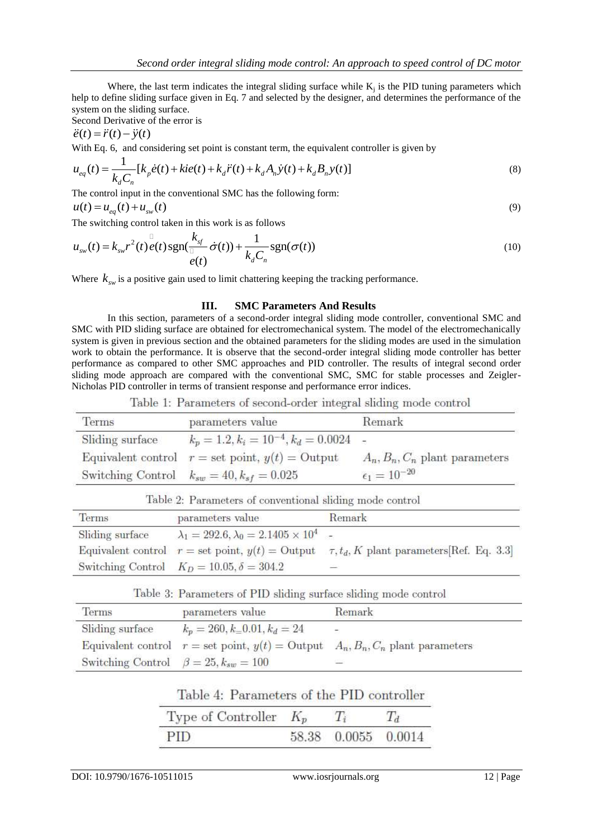Where, the last term indicates the integral sliding surface while  $K_j$  is the PID tuning parameters which help to define sliding surface given in Eq. 7 and selected by the designer, and determines the performance of the system on the sliding surface.

Second Derivative of the error is

 $\ddot{e}(t) = \ddot{r}(t) - \ddot{y}(t)$ 

With Eq. 6, and considering set point is constant term, the equivalent controller is given by

$$
e(t) = r(t) - y(t)
$$
  
With Eq. 6, and considering set point is constant term, the equivalent controller is given by  

$$
u_{eq}(t) = \frac{1}{k_d C_n} [k_p \dot{e}(t) + k i e(t) + k_d \ddot{r}(t) + k_d A_n \dot{y}(t) + k_d B_n y(t)]
$$
(8)  
The control input in the conventional SMC has the following form:

 $u(t) = u_{eq}(t) + u_{sw}(t)$  (9)

The switching control taken in this work is as follows  
\n
$$
u_{sw}(t) = k_{sw}r^{2}(t) e(t)sgn(\frac{k_{sf}}{d} \dot{\sigma}(t)) + \frac{1}{k_{d}C_{n}}sgn(\sigma(t))
$$
\n(10)

Where  $k_{sw}$  is a positive gain used to limit chattering keeping the tracking performance.

## **III. SMC Parameters And Results**

In this section, parameters of a second-order integral sliding mode controller, conventional SMC and SMC with PID sliding surface are obtained for electromechanical system. The model of the electromechanically system is given in previous section and the obtained parameters for the sliding modes are used in the simulation work to obtain the performance. It is observe that the second-order integral sliding mode controller has better performance as compared to other SMC approaches and PID controller. The results of integral second order sliding mode approach are compared with the conventional SMC, SMC for stable processes and Zeigler-Nicholas PID controller in terms of transient response and performance error indices.

Table 1: Parameters of second-order integral sliding mode control

| Terms           | parameters value                                    | Remark                           |
|-----------------|-----------------------------------------------------|----------------------------------|
| Sliding surface | $k_p = 1.2, k_i = 10^{-4}, k_d = 0.0024$            |                                  |
|                 | Equivalent control $r =$ set point, $y(t) =$ Output | $A_n, B_n, C_n$ plant parameters |
|                 | Switching Control $k_{sw} = 40, k_{sf} = 0.025$     | $\epsilon_1 = 10^{-20}$          |

| Terms           | parameters value                                                | twore at a diameters of convenience sudding mode contribu-<br>Remark |  |  |
|-----------------|-----------------------------------------------------------------|----------------------------------------------------------------------|--|--|
| Sliding surface | $\lambda_1 = 292.6, \lambda_0 = 2.1405 \times 10^4$             |                                                                      |  |  |
|                 | Equivalent control $r = \text{set point}, y(t) = \text{Output}$ | $\tau, t_d, K$ plant parameters Ref. Eq. 3.3                         |  |  |
|                 | Switching Control $K_D = 10.05, \delta = 304.2$                 | <b>START</b>                                                         |  |  |

|  | Table 3: Parameters of PID sliding surface sliding mode control |  |  |  |  |  |  |
|--|-----------------------------------------------------------------|--|--|--|--|--|--|
|--|-----------------------------------------------------------------|--|--|--|--|--|--|

| Terms                                        | parameters value                                                                     | Remark |
|----------------------------------------------|--------------------------------------------------------------------------------------|--------|
| Sliding surface                              | $k_p = 260, k_0 = 0.01, k_d = 24$                                                    |        |
|                                              | Equivalent control $r =$ set point, $y(t) =$ Output $A_n, B_n, C_n$ plant parameters |        |
| Switching Control $\beta = 25, k_{sw} = 100$ |                                                                                      |        |

Table 4: Parameters of the PID controller

| Type of Controller $K_p$ |                       |  |
|--------------------------|-----------------------|--|
| <b>PID</b>               | 58.38  0.0055  0.0014 |  |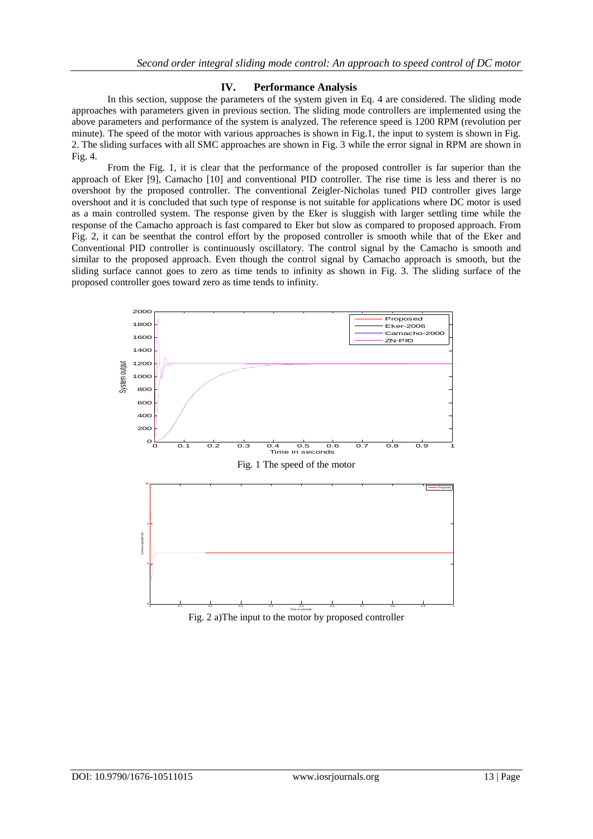## **IV. Performance Analysis**

In this section, suppose the parameters of the system given in Eq. 4 are considered. The sliding mode approaches with parameters given in previous section. The sliding mode controllers are implemented using the above parameters and performance of the system is analyzed. The reference speed is 1200 RPM (revolution per minute). The speed of the motor with various approaches is shown in Fig.1, the input to system is shown in Fig. 2. The sliding surfaces with all SMC approaches are shown in Fig. 3 while the error signal in RPM are shown in Fig. 4.

From the Fig. 1, it is clear that the performance of the proposed controller is far superior than the approach of Eker [9], Camacho [10] and conventional PID controller. The rise time is less and therer is no overshoot by the proposed controller. The conventional Zeigler-Nicholas tuned PID controller gives large overshoot and it is concluded that such type of response is not suitable for applications where DC motor is used as a main controlled system. The response given by the Eker is sluggish with larger settling time while the response of the Camacho approach is fast compared to Eker but slow as compared to proposed approach. From Fig. 2, it can be seenthat the control effort by the proposed controller is smooth while that of the Eker and Conventional PID controller is continuously oscillatory. The control signal by the Camacho is smooth and similar to the proposed approach. Even though the control signal by Camacho approach is smooth, but the sliding surface cannot goes to zero as time tends to infinity as shown in Fig. 3. The sliding surface of the proposed controller goes toward zero as time tends to infinity.



Fig. 2 a)The input to the motor by proposed controller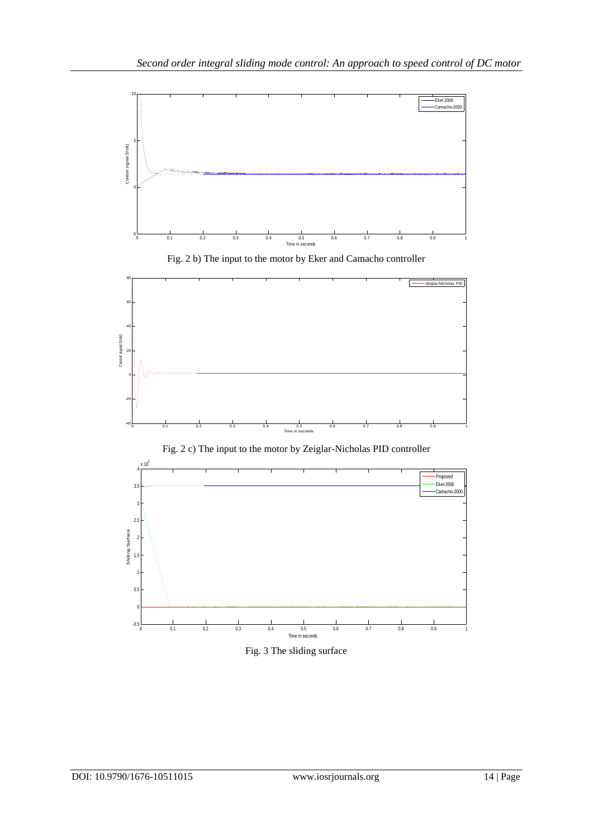





Fig. 2 c) The input to the motor by Zeiglar-Nicholas PID controller



Fig. 3 The sliding surface